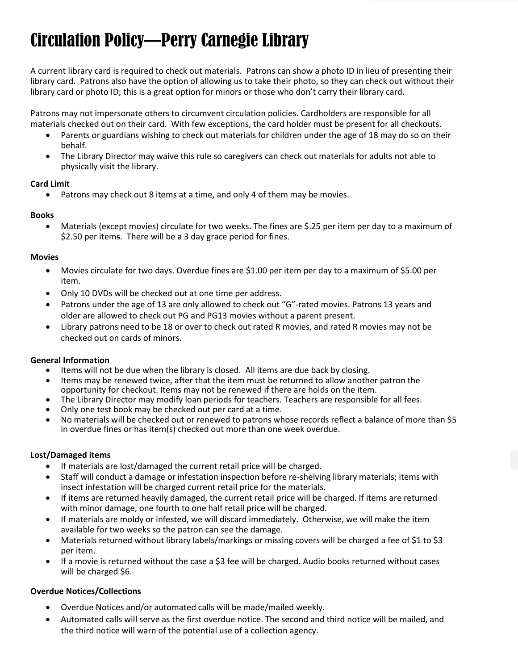# Circulation Policy—Perry Carnegie Library

A current library card is required to check out materials. Patrons can show a photo ID in lieu of presenting their library card. Patrons also have the option of allowing us to take their photo, so they can check out without their library card or photo ID; this is a great option for minors or those who don't carry their library card.

Patrons may not impersonate others to circumvent circulation policies. Cardholders are responsible for all materials checked out on their card. With few exceptions, the card holder must be present for all checkouts.

- Parents or guardians wishing to check out materials for children under the age of 18 may do so on their behalf.
- The Library Director may waive this rule so caregivers can check out materials for adults not able to physically visit the library.

# **Card Limit**

• Patrons may check out 8 items at a time, and only 4 of them may be movies.

# **Books**

 Materials (except movies) circulate for two weeks. The fines are \$.25 per item per day to a maximum of \$2.50 per items. There will be a 3 day grace period for fines.

# **Movies**

- Movies circulate for two days. Overdue fines are \$1.00 per item per day to a maximum of \$5.00 per item.
- Only 10 DVDs will be checked out at one time per address.
- Patrons under the age of 13 are only allowed to check out "G"-rated movies. Patrons 13 years and older are allowed to check out PG and PG13 movies without a parent present.
- Library patrons need to be 18 or over to check out rated R movies, and rated R movies may not be checked out on cards of minors.

# **General Information**

- Items will not be due when the library is closed. All items are due back by closing.
- Items may be renewed twice, after that the item must be returned to allow another patron the opportunity for checkout. Items may not be renewed if there are holds on the item.
- The Library Director may modify loan periods for teachers. Teachers are responsible for all fees.
- Only one test book may be checked out per card at a time.
- No materials will be checked out or renewed to patrons whose records reflect a balance of more than \$5 in overdue fines or has item(s) checked out more than one week overdue.

#### **Lost/Damaged items**

- If materials are lost/damaged the current retail price will be charged.
- Staff will conduct a damage or infestation inspection before re-shelving library materials; items with insect infestation will be charged current retail price for the materials.
- If items are returned heavily damaged, the current retail price will be charged. If items are returned with minor damage, one fourth to one half retail price will be charged.
- If materials are moldy or infested, we will discard immediately. Otherwise, we will make the item available for two weeks so the patron can see the damage.
- Materials returned without library labels/markings or missing covers will be charged a fee of \$1 to \$3 per item.
- If a movie is returned without the case a \$3 fee will be charged. Audio books returned without cases will be charged \$6.

# **Overdue Notices/Collections**

- Overdue Notices and/or automated calls will be made/mailed weekly.
- Automated calls will serve as the first overdue notice. The second and third notice will be mailed, and the third notice will warn of the potential use of a collection agency.